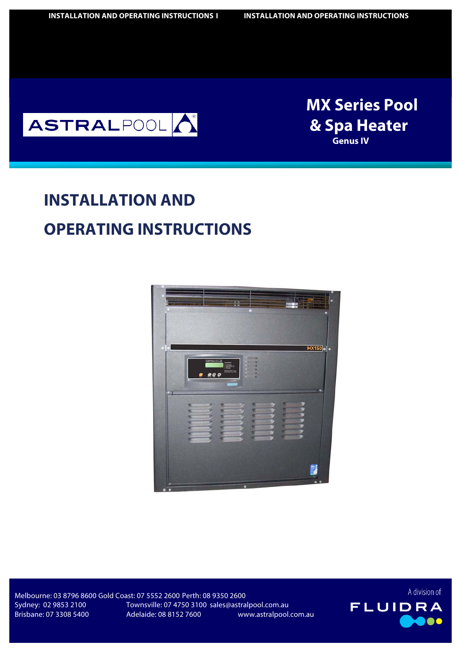

**Boles Boles Boles Boles Boles Boles Boles Boles Boles Boles Boles Boles Boles Boles Boles Boles Boles Boles Boles Boles Boles Boles Boles Boles Boles Boles Boles Boles Boles Boles Boles Boles Boles Boles Boles Boles Boles MX Series Pool & Spa Heater Genus IV**

# **INSTALLATION AND OPERATING INSTRUCTIONS**



Brisbane: 07 3308 5400

Melbourne: 03 8796 8600 Gold Coast: 07 5552 2600 Perth: 08 9350 2600 Sydney: 02 9853 2100 Townsville: 07 4750 3100 sales@astralpool.com.au Adelaide: 08 8152 7600 www.astralpool.com.au

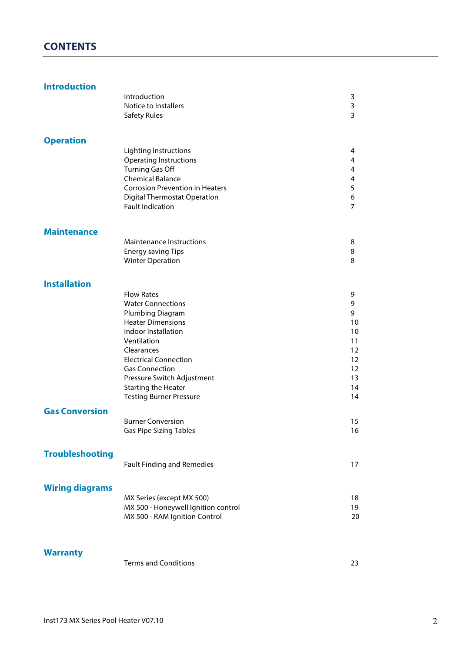# **CONTENTS**

#### **Introduction**

|                        | Introduction                           | 3              |
|------------------------|----------------------------------------|----------------|
|                        | Notice to Installers                   | 3              |
|                        | <b>Safety Rules</b>                    | 3              |
| <b>Operation</b>       |                                        |                |
|                        | Lighting Instructions                  | 4              |
|                        | <b>Operating Instructions</b>          | 4              |
|                        | <b>Turning Gas Off</b>                 | 4              |
|                        | <b>Chemical Balance</b>                | 4              |
|                        | <b>Corrosion Prevention in Heaters</b> | 5              |
|                        | <b>Digital Thermostat Operation</b>    | 6              |
|                        | <b>Fault Indication</b>                | $\overline{7}$ |
| <b>Maintenance</b>     |                                        |                |
|                        | <b>Maintenance Instructions</b>        | 8              |
|                        | <b>Energy saving Tips</b>              | 8              |
|                        | <b>Winter Operation</b>                | 8              |
| <b>Installation</b>    |                                        |                |
|                        | <b>Flow Rates</b>                      | 9              |
|                        | <b>Water Connections</b>               | 9              |
|                        | Plumbing Diagram                       | 9              |
|                        | <b>Heater Dimensions</b>               | 10             |
|                        | Indoor Installation                    | 10             |
|                        | Ventilation                            | 11             |
|                        | Clearances                             | 12             |
|                        | <b>Electrical Connection</b>           | 12             |
|                        | <b>Gas Connection</b>                  | 12             |
|                        | Pressure Switch Adjustment             | 13             |
|                        | <b>Starting the Heater</b>             | 14             |
|                        | <b>Testing Burner Pressure</b>         | 14             |
| <b>Gas Conversion</b>  | <b>Burner Conversion</b>               | 15             |
|                        | <b>Gas Pipe Sizing Tables</b>          | 16             |
| <b>Troubleshooting</b> |                                        |                |
|                        | <b>Fault Finding and Remedies</b>      | 17             |
| <b>Wiring diagrams</b> |                                        |                |
|                        | MX Series (except MX 500)              | 18             |
|                        | MX 500 - Honeywell Ignition control    | 19             |
|                        | MX 500 - RAM Ignition Control          | 20             |
|                        |                                        |                |

## **Warranty**

| Terms and Conditions |  |
|----------------------|--|
|----------------------|--|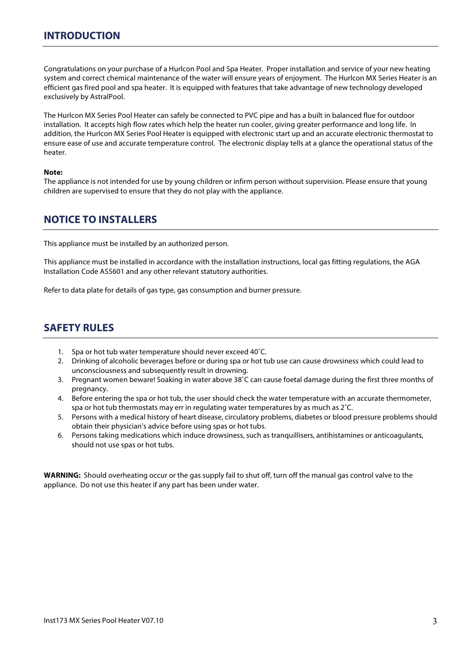Congratulations on your purchase of a Hurlcon Pool and Spa Heater. Proper installation and service of your new heating system and correct chemical maintenance of the water will ensure years of enjoyment. The Hurlcon MX Series Heater is an efficient gas fired pool and spa heater. It is equipped with features that take advantage of new technology developed exclusively by AstralPool.

The Hurlcon MX Series Pool Heater can safely be connected to PVC pipe and has a built in balanced flue for outdoor installation. It accepts high flow rates which help the heater run cooler, giving greater performance and long life. In addition, the Hurlcon MX Series Pool Heater is equipped with electronic start up and an accurate electronic thermostat to ensure ease of use and accurate temperature control. The electronic display tells at a glance the operational status of the heater.

#### **Note:**

The appliance is not intended for use by young children or infirm person without supervision. Please ensure that young children are supervised to ensure that they do not play with the appliance.

## **NOTICE TO INSTALLERS**

This appliance must be installed by an authorized person.

This appliance must be installed in accordance with the installation instructions, local gas fitting regulations, the AGA Installation Code AS5601 and any other relevant statutory authorities.

Refer to data plate for details of gas type, gas consumption and burner pressure.

# **SAFETY RULES**

- 1. Spa or hot tub water temperature should never exceed 40˚C.
- 2. Drinking of alcoholic beverages before or during spa or hot tub use can cause drowsiness which could lead to unconsciousness and subsequently result in drowning.
- 3. Pregnant women beware! Soaking in water above 38˚C can cause foetal damage during the first three months of pregnancy.
- 4. Before entering the spa or hot tub, the user should check the water temperature with an accurate thermometer, spa or hot tub thermostats may err in regulating water temperatures by as much as 2˚C.
- 5. Persons with a medical history of heart disease, circulatory problems, diabetes or blood pressure problems should obtain their physician's advice before using spas or hot tubs.
- 6. Persons taking medications which induce drowsiness, such as tranquillisers, antihistamines or anticoagulants, should not use spas or hot tubs.

**WARNING:** Should overheating occur or the gas supply fail to shut off, turn off the manual gas control valve to the appliance. Do not use this heater if any part has been under water.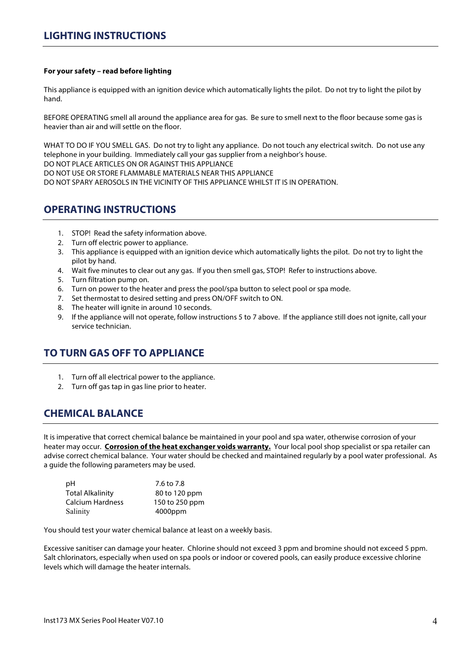## **LIGHTING INSTRUCTIONS**

#### **For your safety – read before lighting**

This appliance is equipped with an ignition device which automatically lights the pilot. Do not try to light the pilot by hand.

BEFORE OPERATING smell all around the appliance area for gas. Be sure to smell next to the floor because some gas is heavier than air and will settle on the floor.

WHAT TO DO IF YOU SMELL GAS. Do not try to light any appliance. Do not touch any electrical switch. Do not use any telephone in your building. Immediately call your gas supplier from a neighbor's house.

DO NOT PLACE ARTICLES ON OR AGAINST THIS APPLIANCE

DO NOT USE OR STORE FLAMMABLE MATERIALS NEAR THIS APPLIANCE

DO NOT SPARY AEROSOLS IN THE VICINITY OF THIS APPLIANCE WHILST IT IS IN OPERATION.

## **OPERATING INSTRUCTIONS**

- 1. STOP! Read the safety information above.
- 2. Turn off electric power to appliance.
- 3. This appliance is equipped with an ignition device which automatically lights the pilot. Do not try to light the pilot by hand.
- 4. Wait five minutes to clear out any gas. If you then smell gas, STOP! Refer to instructions above.
- 5. Turn filtration pump on.
- 6. Turn on power to the heater and press the pool/spa button to select pool or spa mode.
- 7. Set thermostat to desired setting and press ON/OFF switch to ON.
- 8. The heater will ignite in around 10 seconds.
- 9. If the appliance will not operate, follow instructions 5 to 7 above. If the appliance still does not ignite, call your service technician.

# **TO TURN GAS OFF TO APPLIANCE**

- 1. Turn off all electrical power to the appliance.
- 2. Turn off gas tap in gas line prior to heater.

# **CHEMICAL BALANCE**

It is imperative that correct chemical balance be maintained in your pool and spa water, otherwise corrosion of your heater may occur. **Corrosion of the heat exchanger voids warranty.** Your local pool shop specialist or spa retailer can advise correct chemical balance. Your water should be checked and maintained regularly by a pool water professional. As a guide the following parameters may be used.

| рH                      | 7.6 to 7.8     |
|-------------------------|----------------|
| <b>Total Alkalinity</b> | 80 to 120 ppm  |
| <b>Calcium Hardness</b> | 150 to 250 ppm |
| Salinity                | 4000ppm        |

You should test your water chemical balance at least on a weekly basis.

Excessive sanitiser can damage your heater. Chlorine should not exceed 3 ppm and bromine should not exceed 5 ppm. Salt chlorinators, especially when used on spa pools or indoor or covered pools, can easily produce excessive chlorine levels which will damage the heater internals.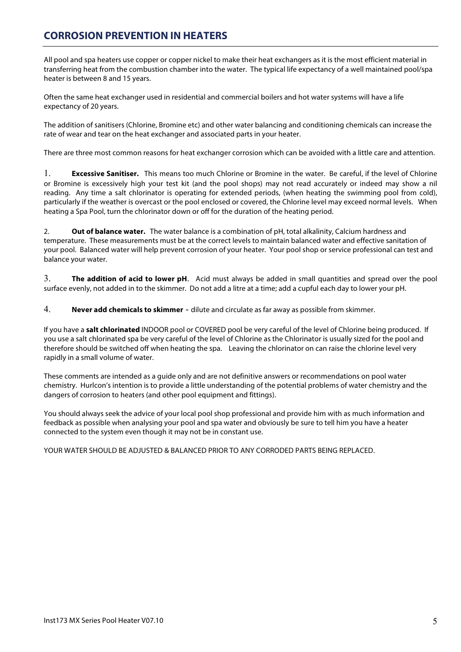# **CORROSION PREVENTION IN HEATERS**

All pool and spa heaters use copper or copper nickel to make their heat exchangers as it is the most efficient material in transferring heat from the combustion chamber into the water. The typical life expectancy of a well maintained pool/spa heater is between 8 and 15 years.

Often the same heat exchanger used in residential and commercial boilers and hot water systems will have a life expectancy of 20 years.

The addition of sanitisers (Chlorine, Bromine etc) and other water balancing and conditioning chemicals can increase the rate of wear and tear on the heat exchanger and associated parts in your heater.

There are three most common reasons for heat exchanger corrosion which can be avoided with a little care and attention.

1. **Excessive Sanitiser.** This means too much Chlorine or Bromine in the water. Be careful, if the level of Chlorine or Bromine is excessively high your test kit (and the pool shops) may not read accurately or indeed may show a nil reading. Any time a salt chlorinator is operating for extended periods, (when heating the swimming pool from cold), particularly if the weather is overcast or the pool enclosed or covered, the Chlorine level may exceed normal levels. When heating a Spa Pool, turn the chlorinator down or off for the duration of the heating period.

2. **Out of balance water.** The water balance is a combination of pH, total alkalinity, Calcium hardness and temperature. These measurements must be at the correct levels to maintain balanced water and effective sanitation of your pool. Balanced water will help prevent corrosion of your heater. Your pool shop or service professional can test and balance your water.

3. **The addition of acid to lower pH**. Acid must always be added in small quantities and spread over the pool surface evenly, not added in to the skimmer. Do not add a litre at a time; add a cupful each day to lower your pH.

4. **Never add chemicals to skimmer** - dilute and circulate as far away as possible from skimmer.

If you have a **salt chlorinated** INDOOR pool or COVERED pool be very careful of the level of Chlorine being produced. If you use a salt chlorinated spa be very careful of the level of Chlorine as the Chlorinator is usually sized for the pool and therefore should be switched off when heating the spa. Leaving the chlorinator on can raise the chlorine level very rapidly in a small volume of water.

These comments are intended as a guide only and are not definitive answers or recommendations on pool water chemistry. Hurlcon's intention is to provide a little understanding of the potential problems of water chemistry and the dangers of corrosion to heaters (and other pool equipment and fittings).

You should always seek the advice of your local pool shop professional and provide him with as much information and feedback as possible when analysing your pool and spa water and obviously be sure to tell him you have a heater connected to the system even though it may not be in constant use.

YOUR WATER SHOULD BE ADJUSTED & BALANCED PRIOR TO ANY CORRODED PARTS BEING REPLACED.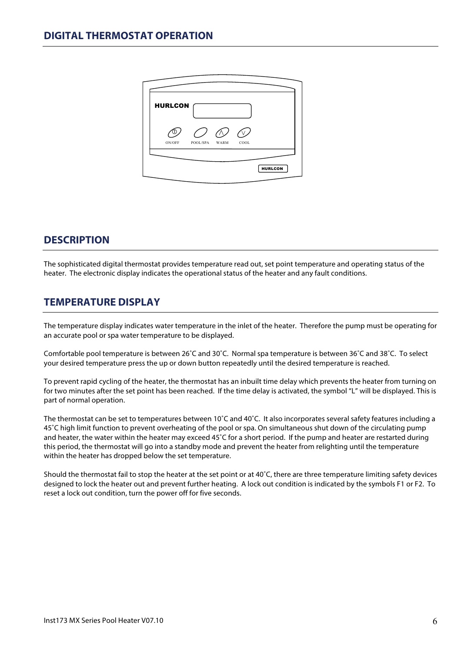| <b>HURLCON</b><br>ON/OFF<br>COOL<br>POOL/SPA<br><b>WARM</b> |  |  |                |
|-------------------------------------------------------------|--|--|----------------|
|                                                             |  |  |                |
|                                                             |  |  |                |
|                                                             |  |  | <b>HURLCON</b> |

# **DESCRIPTION**

The sophisticated digital thermostat provides temperature read out, set point temperature and operating status of the heater. The electronic display indicates the operational status of the heater and any fault conditions.

## **TEMPERATURE DISPLAY**

The temperature display indicates water temperature in the inlet of the heater. Therefore the pump must be operating for an accurate pool or spa water temperature to be displayed.

Comfortable pool temperature is between 26˚C and 30˚C. Normal spa temperature is between 36˚C and 38˚C. To select your desired temperature press the up or down button repeatedly until the desired temperature is reached.

To prevent rapid cycling of the heater, the thermostat has an inbuilt time delay which prevents the heater from turning on for two minutes after the set point has been reached. If the time delay is activated, the symbol "L" will be displayed. This is part of normal operation.

The thermostat can be set to temperatures between 10˚C and 40˚C. It also incorporates several safety features including a 45˚C high limit function to prevent overheating of the pool or spa. On simultaneous shut down of the circulating pump and heater, the water within the heater may exceed 45˚C for a short period. If the pump and heater are restarted during this period, the thermostat will go into a standby mode and prevent the heater from relighting until the temperature within the heater has dropped below the set temperature.

Should the thermostat fail to stop the heater at the set point or at  $40^{\circ}$ C, there are three temperature limiting safety devices designed to lock the heater out and prevent further heating. A lock out condition is indicated by the symbols F1 or F2. To reset a lock out condition, turn the power off for five seconds.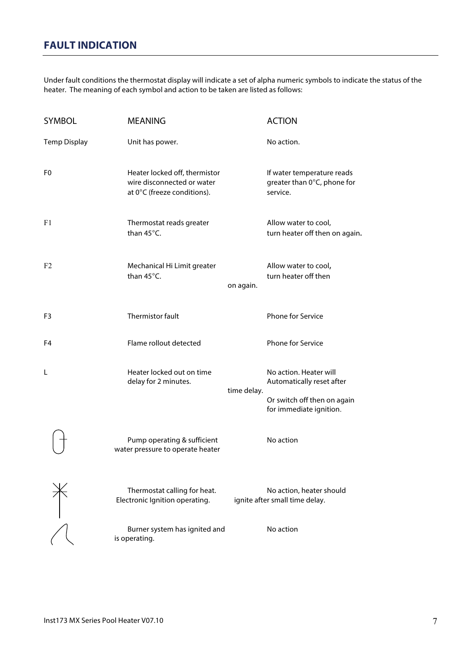Under fault conditions the thermostat display will indicate a set of alpha numeric symbols to indicate the status of the heater. The meaning of each symbol and action to be taken are listed as follows:

| <b>SYMBOL</b>       | <b>MEANING</b>                                                                             |             | <b>ACTION</b>                                                         |
|---------------------|--------------------------------------------------------------------------------------------|-------------|-----------------------------------------------------------------------|
| <b>Temp Display</b> | Unit has power.                                                                            |             | No action.                                                            |
| F <sub>0</sub>      | Heater locked off, thermistor<br>wire disconnected or water<br>at 0°C (freeze conditions). |             | If water temperature reads<br>greater than 0°C, phone for<br>service. |
| F1                  | Thermostat reads greater<br>than 45°C.                                                     |             | Allow water to cool,<br>turn heater off then on again.                |
| F <sub>2</sub>      | Mechanical Hi Limit greater<br>than 45°C.                                                  | on again.   | Allow water to cool,<br>turn heater off then                          |
| F3                  | Thermistor fault                                                                           |             | <b>Phone for Service</b>                                              |
| F4                  | Flame rollout detected                                                                     |             | Phone for Service                                                     |
| L                   | Heater locked out on time<br>delay for 2 minutes.                                          | time delay. | No action. Heater will<br>Automatically reset after                   |
|                     |                                                                                            |             | Or switch off then on again<br>for immediate ignition.                |
|                     | Pump operating & sufficient<br>water pressure to operate heater                            |             | No action                                                             |
|                     | Thermostat calling for heat.<br>Electronic Ignition operating.                             |             | No action, heater should<br>ignite after small time delay.            |
|                     | Burner system has ignited and<br>is operating.                                             |             | No action                                                             |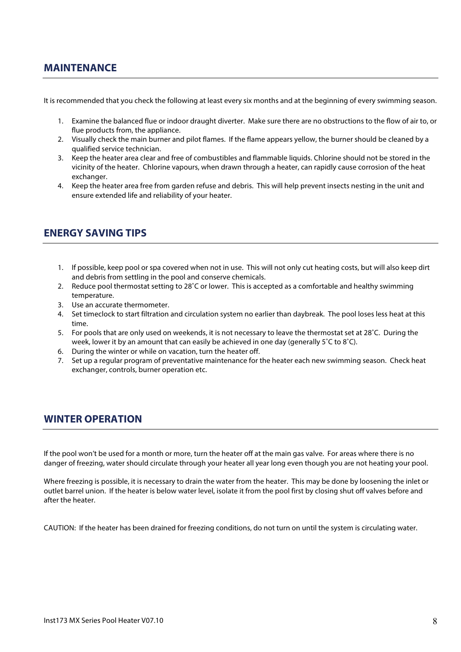## **MAINTENANCE**

It is recommended that you check the following at least every six months and at the beginning of every swimming season.

- 1. Examine the balanced flue or indoor draught diverter. Make sure there are no obstructions to the flow of air to, or flue products from, the appliance.
- 2. Visually check the main burner and pilot flames. If the flame appears yellow, the burner should be cleaned by a qualified service technician.
- 3. Keep the heater area clear and free of combustibles and flammable liquids. Chlorine should not be stored in the vicinity of the heater. Chlorine vapours, when drawn through a heater, can rapidly cause corrosion of the heat exchanger.
- 4. Keep the heater area free from garden refuse and debris. This will help prevent insects nesting in the unit and ensure extended life and reliability of your heater.

## **ENERGY SAVING TIPS**

- 1. If possible, keep pool or spa covered when not in use. This will not only cut heating costs, but will also keep dirt and debris from settling in the pool and conserve chemicals.
- 2. Reduce pool thermostat setting to 28˚C or lower. This is accepted as a comfortable and healthy swimming temperature.
- 3. Use an accurate thermometer.
- 4. Set timeclock to start filtration and circulation system no earlier than daybreak. The pool loses less heat at this time.
- 5. For pools that are only used on weekends, it is not necessary to leave the thermostat set at 28˚C. During the week, lower it by an amount that can easily be achieved in one day (generally 5˚C to 8˚C).
- 6. During the winter or while on vacation, turn the heater off.
- 7. Set up a regular program of preventative maintenance for the heater each new swimming season. Check heat exchanger, controls, burner operation etc.

## **WINTER OPERATION**

If the pool won't be used for a month or more, turn the heater off at the main gas valve. For areas where there is no danger of freezing, water should circulate through your heater all year long even though you are not heating your pool.

Where freezing is possible, it is necessary to drain the water from the heater. This may be done by loosening the inlet or outlet barrel union. If the heater is below water level, isolate it from the pool first by closing shut off valves before and after the heater.

CAUTION: If the heater has been drained for freezing conditions, do not turn on until the system is circulating water.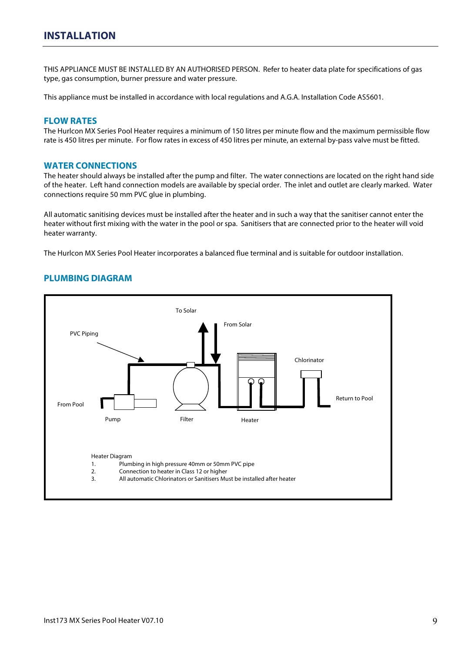THIS APPLIANCE MUST BE INSTALLED BY AN AUTHORISED PERSON. Refer to heater data plate for specifications of gas type, gas consumption, burner pressure and water pressure.

This appliance must be installed in accordance with local regulations and A.G.A. Installation Code AS5601.

#### **FLOW RATES**

The Hurlcon MX Series Pool Heater requires a minimum of 150 litres per minute flow and the maximum permissible flow rate is 450 litres per minute. For flow rates in excess of 450 litres per minute, an external by-pass valve must be fitted.

#### **WATER CONNECTIONS**

The heater should always be installed after the pump and filter. The water connections are located on the right hand side of the heater. Left hand connection models are available by special order. The inlet and outlet are clearly marked. Water connections require 50 mm PVC glue in plumbing.

All automatic sanitising devices must be installed after the heater and in such a way that the sanitiser cannot enter the heater without first mixing with the water in the pool or spa. Sanitisers that are connected prior to the heater will void heater warranty.

The Hurlcon MX Series Pool Heater incorporates a balanced flue terminal and is suitable for outdoor installation.

#### **PLUMBING DIAGRAM**

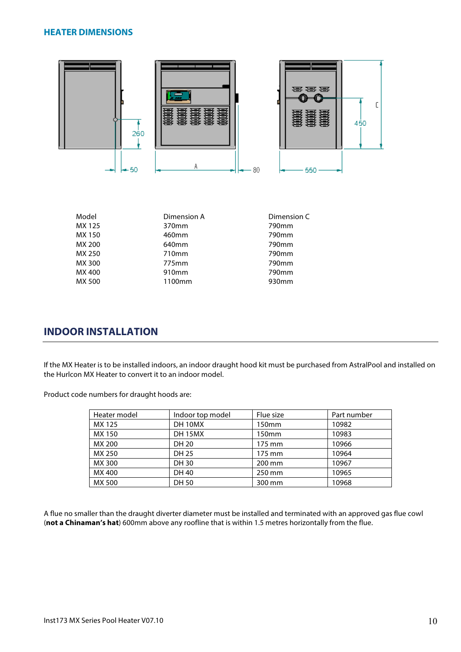#### **HEATER DIMENSIONS**



| Model  | Dimension A | Dimension C |
|--------|-------------|-------------|
| MX 125 | 370mm       | 790mm       |
| MX 150 | 460mm       | 790mm       |
| MX 200 | 640mm       | 790mm       |
| MX 250 | 710mm       | 790mm       |
| MX 300 | 775mm       | 790mm       |
| MX 400 | 910mm       | 790mm       |
| MX 500 | 1100mm      | 930mm       |

## **INDOOR INSTALLATION**

If the MX Heater is to be installed indoors, an indoor draught hood kit must be purchased from AstralPool and installed on the Hurlcon MX Heater to convert it to an indoor model.

Product code numbers for draught hoods are:

| Heater model | Indoor top model | Flue size | Part number |
|--------------|------------------|-----------|-------------|
| MX 125       | DH 10MX          | 150mm     | 10982       |
| MX 150       | <b>DH 15MX</b>   | 150mm     | 10983       |
| MX 200       | DH 20            | 175 mm    | 10966       |
| MX 250       | DH 25            | 175 mm    | 10964       |
| MX 300       | DH 30            | 200 mm    | 10967       |
| MX 400       | DH 40            | 250 mm    | 10965       |
| MX 500       | DH 50            | 300 mm    | 10968       |

A flue no smaller than the draught diverter diameter must be installed and terminated with an approved gas flue cowl (**not a Chinaman's hat**) 600mm above any roofline that is within 1.5 metres horizontally from the flue.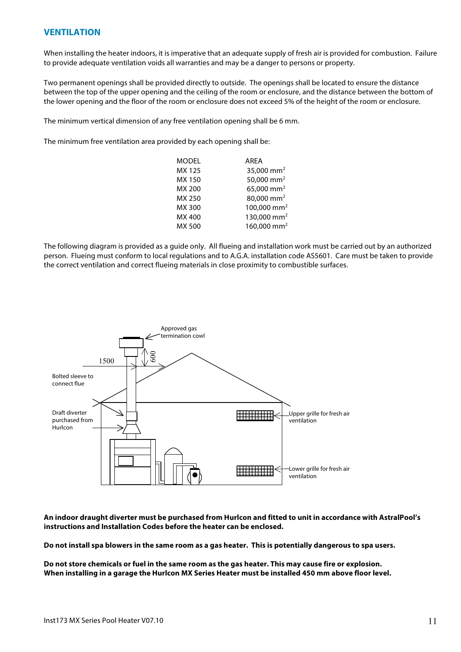#### **VENTILATION**

When installing the heater indoors, it is imperative that an adequate supply of fresh air is provided for combustion. Failure to provide adequate ventilation voids all warranties and may be a danger to persons or property.

Two permanent openings shall be provided directly to outside. The openings shall be located to ensure the distance between the top of the upper opening and the ceiling of the room or enclosure, and the distance between the bottom of the lower opening and the floor of the room or enclosure does not exceed 5% of the height of the room or enclosure.

The minimum vertical dimension of any free ventilation opening shall be 6 mm.

The minimum free ventilation area provided by each opening shall be:

| MODEL  | <b>AREA</b>             |
|--------|-------------------------|
| MX 125 | 35,000 mm <sup>2</sup>  |
| MX 150 | 50,000 mm <sup>2</sup>  |
| MX 200 | 65,000 mm <sup>2</sup>  |
| MX 250 | 80,000 mm <sup>2</sup>  |
| MX 300 | 100,000 mm <sup>2</sup> |
| MX 400 | 130,000 mm <sup>2</sup> |
| MX 500 | 160,000 mm <sup>2</sup> |

The following diagram is provided as a guide only. All flueing and installation work must be carried out by an authorized person. Flueing must conform to local regulations and to A.G.A. installation code AS5601. Care must be taken to provide the correct ventilation and correct flueing materials in close proximity to combustible surfaces.



**An indoor draught diverter must be purchased from Hurlcon and fitted to unit in accordance with AstralPool's instructions and Installation Codes before the heater can be enclosed.**

**Do not install spa blowers in the same room as a gas heater. This is potentially dangerous to spa users.**

**Do not store chemicals or fuel in the same room as the gas heater. This may cause fire or explosion. When installing in a garage the Hurlcon MX Series Heater must be installed 450 mm above floor level.**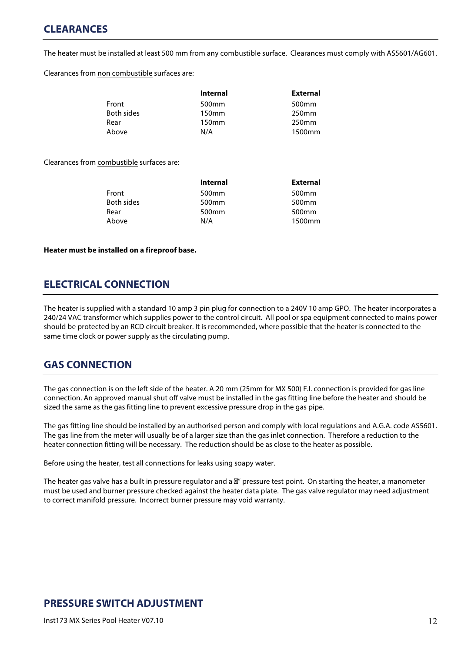# **CLEARANCES**

The heater must be installed at least 500 mm from any combustible surface. Clearances must comply with AS5601/AG601.

Clearances from non combustible surfaces are:

| <b>Internal</b>   | <b>External</b>   |
|-------------------|-------------------|
| 500 <sub>mm</sub> | 500 <sub>mm</sub> |
| 150mm             | 250 <sub>mm</sub> |
| 150mm             | 250 <sub>mm</sub> |
| N/A               | 1500mm            |
|                   |                   |

Clearances from combustible surfaces are:

|            | <b>Internal</b>   | <b>External</b>   |
|------------|-------------------|-------------------|
| Front      | 500 <sub>mm</sub> | 500 <sub>mm</sub> |
| Both sides | 500 <sub>mm</sub> | 500 <sub>mm</sub> |
| Rear       | 500 <sub>mm</sub> | 500 <sub>mm</sub> |
| Above      | N/A               | 1500mm            |

#### **Heater must be installed on a fireproof base.**

## **ELECTRICAL CONNECTION**

The heater is supplied with a standard 10 amp 3 pin plug for connection to a 240V 10 amp GPO. The heater incorporates a 240/24 VAC transformer which supplies power to the control circuit. All pool or spa equipment connected to mains power should be protected by an RCD circuit breaker. It is recommended, where possible that the heater is connected to the same time clock or power supply as the circulating pump.

# **GAS CONNECTION**

The gas connection is on the left side of the heater. A 20 mm (25mm for MX 500) F.I. connection is provided for gas line connection. An approved manual shut off valve must be installed in the gas fitting line before the heater and should be sized the same as the gas fitting line to prevent excessive pressure drop in the gas pipe.

The gas fitting line should be installed by an authorised person and comply with local regulations and A.G.A. code AS5601. The gas line from the meter will usually be of a larger size than the gas inlet connection. Therefore a reduction to the heater connection fitting will be necessary. The reduction should be as close to the heater as possible.

Before using the heater, test all connections for leaks using soapy water.

The heater gas valve has a built in pressure regulator and a " pressure test point. On starting the heater, a manometer must be used and burner pressure checked against the heater data plate. The gas valve regulator may need adjustment to correct manifold pressure. Incorrect burner pressure may void warranty.

# **PRESSURE SWITCH ADJUSTMENT**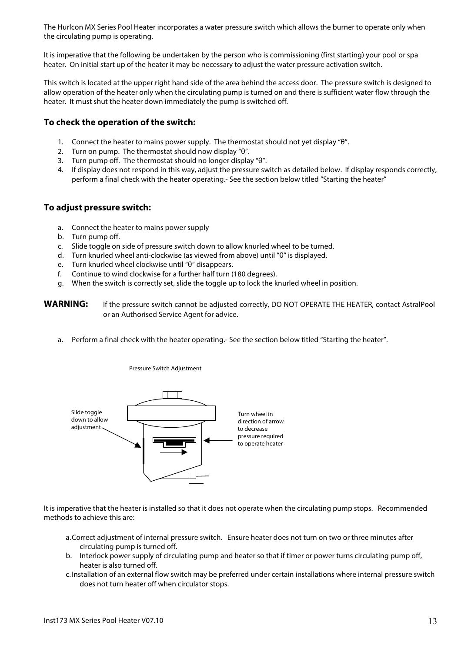The Hurlcon MX Series Pool Heater incorporates a water pressure switch which allows the burner to operate only when the circulating pump is operating.

It is imperative that the following be undertaken by the person who is commissioning (first starting) your pool or spa heater. On initial start up of the heater it may be necessary to adjust the water pressure activation switch.

This switch is located at the upper right hand side of the area behind the access door. The pressure switch is designed to allow operation of the heater only when the circulating pump is turned on and there is sufficient water flow through the heater. It must shut the heater down immediately the pump is switched off.

#### **To check the operation of the switch:**

- 1. Connect the heater to mains power supply. The thermostat should not yet display "θ".
- 2. Turn on pump. The thermostat should now display "θ".
- 3. Turn pump off. The thermostat should no longer display "θ".
- 4. If display does not respond in this way, adjust the pressure switch as detailed below. If display responds correctly, perform a final check with the heater operating.- See the section below titled "Starting the heater"

#### **To adjust pressure switch:**

- a. Connect the heater to mains power supply
- b. Turn pump off.
- c. Slide toggle on side of pressure switch down to allow knurled wheel to be turned.
- d. Turn knurled wheel anti-clockwise (as viewed from above) until "θ" is displayed.
- e. Turn knurled wheel clockwise until "θ" disappears.
- f. Continue to wind clockwise for a further half turn (180 degrees).

Pressure Switch Adjustment

g. When the switch is correctly set, slide the toggle up to lock the knurled wheel in position.

| <b>WARNING:</b> | If the pressure switch cannot be adjusted correctly, DO NOT OPERATE THE HEATER, contact AstralPool |
|-----------------|----------------------------------------------------------------------------------------------------|
|                 | or an Authorised Service Agent for advice.                                                         |

a. Perform a final check with the heater operating.- See the section below titled "Starting the heater".



It is imperative that the heater is installed so that it does not operate when the circulating pump stops. Recommended methods to achieve this are:

- a.Correct adjustment of internal pressure switch. Ensure heater does not turn on two or three minutes after circulating pump is turned off.
- b. Interlock power supply of circulating pump and heater so that if timer or power turns circulating pump off, heater is also turned off.
- c.Installation of an external flow switch may be preferred under certain installations where internal pressure switch does not turn heater off when circulator stops.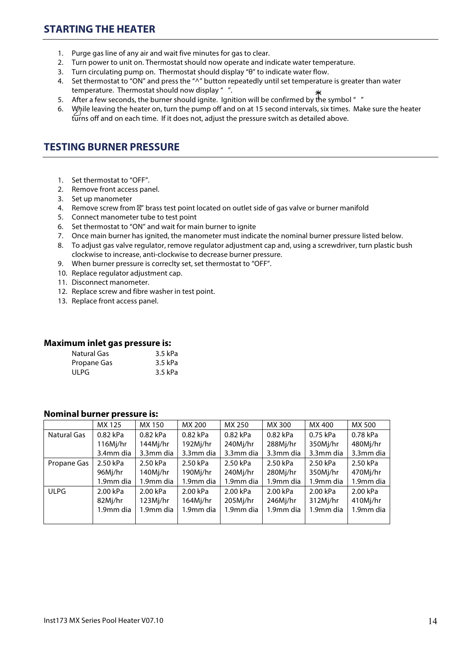# **STARTING THE HEATER**

- 1. Purge gas line of any air and wait five minutes for gas to clear.
- 2. Turn power to unit on. Thermostat should now operate and indicate water temperature.
- 3. Turn circulating pump on. Thermostat should display "θ" to indicate water flow.
- 4. Set thermostat to "ON" and press the "^" button repeatedly until set temperature is greater than water temperature. Thermostat should now display " ".
- 5. After a few seconds, the burner should ignite. Ignition will be confirmed by the symbol "  $\tilde{\ }$
- 6. While leaving the heater on, turn the pump off and on at 15 second intervals, six times. Make sure the heater turns off and on each time. If it does not, adjust the pressure switch as detailed above.

## **TESTING BURNER PRESSURE**

- 1. Set thermostat to "OFF".
- 2. Remove front access panel.
- 3. Set up manometer
- 4. Remove screw from " brass test point located on outlet side of gas valve or burner manifold
- 5. Connect manometer tube to test point
- 6. Set thermostat to "ON" and wait for main burner to ignite
- 7. Once main burner has ignited, the manometer must indicate the nominal burner pressure listed below.
- 8. To adjust gas valve regulator, remove regulator adjustment cap and, using a screwdriver, turn plastic bush clockwise to increase, anti-clockwise to decrease burner pressure.
- 9. When burner pressure is correclty set, set thermostat to "OFF".
- 10. Replace regulator adjustment cap.
- 11. Disconnect manometer.
- 12. Replace screw and fibre washer in test point.
- 13. Replace front access panel.

#### **Maximum inlet gas pressure is:**

| 3.5 kPa |
|---------|
| 3.5 kPa |
| 3.5 kPa |
|         |

#### **Nominal burner pressure is:**

|                    | MX 125    | MX 150    | MX 200    | MX 250    | MX 300    | MX 400    | MX 500    |
|--------------------|-----------|-----------|-----------|-----------|-----------|-----------|-----------|
| <b>Natural Gas</b> | 0.82 kPa  | 0.82 kPa  | 0.82 kPa  | 0.82 kPa  | 0.82 kPa  | 0.75 kPa  | 0.78 kPa  |
|                    | 116Mj/hr  | 144Mj/hr  | 192Mj/hr  | 240Mj/hr  | 288Mj/hr  | 350Mj/hr  | 480Mj/hr  |
|                    | 3.4mm dia | 3.3mm dia | 3.3mm dia | 3.3mm dia | 3.3mm dia | 3.3mm dia | 3.3mm dia |
| Propane Gas        | 2.50 kPa  | 2.50 kPa  | 2.50 kPa  | 2.50 kPa  | 2.50 kPa  | 2.50 kPa  | 2.50 kPa  |
|                    | 96Mj/hr   | 140Mj/hr  | 190Mj/hr  | 240Mj/hr  | 280Mj/hr  | 350Mj/hr  | 470Mj/hr  |
|                    | 1.9mm dia | 1.9mm dia | 1.9mm dia | 1.9mm dia | 1.9mm dia | 1.9mm dia | 1.9mm dia |
| <b>ULPG</b>        | 2.00 kPa  | 2.00 kPa  | 2.00 kPa  | 2.00 kPa  | 2.00 kPa  | 2.00 kPa  | 2.00 kPa  |
|                    | 82Mj/hr   | 123Mj/hr  | 164Mj/hr  | 205Mj/hr  | 246Mj/hr  | 312Mj/hr  | 410Mj/hr  |
|                    | 1.9mm dia | 1.9mm dia | 1.9mm dia | 1.9mm dia | 1.9mm dia | 1.9mm dia | 1.9mm dia |
|                    |           |           |           |           |           |           |           |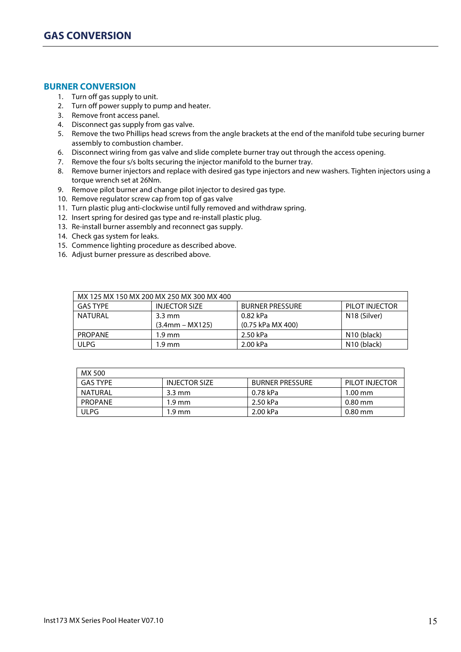#### **BURNER CONVERSION**

- 1. Turn off gas supply to unit.
- 2. Turn off power supply to pump and heater.
- 3. Remove front access panel.
- 4. Disconnect gas supply from gas valve.
- 5. Remove the two Phillips head screws from the angle brackets at the end of the manifold tube securing burner assembly to combustion chamber.
- 6. Disconnect wiring from gas valve and slide complete burner tray out through the access opening.
- 7. Remove the four s/s bolts securing the injector manifold to the burner tray.
- 8. Remove burner injectors and replace with desired gas type injectors and new washers. Tighten injectors using a torque wrench set at 26Nm.
- 9. Remove pilot burner and change pilot injector to desired gas type.
- 10. Remove regulator screw cap from top of gas valve
- 11. Turn plastic plug anti-clockwise until fully removed and withdraw spring.
- 12. Insert spring for desired gas type and re-install plastic plug.
- 13. Re-install burner assembly and reconnect gas supply.
- 14. Check gas system for leaks.
- 15. Commence lighting procedure as described above.
- 16. Adjust burner pressure as described above.

|                 | MX 125 MX 150 MX 200 MX 250 MX 300 MX 400 |                        |                         |
|-----------------|-------------------------------------------|------------------------|-------------------------|
| <b>GAS TYPE</b> | <b>INJECTOR SIZE</b>                      | <b>BURNER PRESSURE</b> | PILOT INJECTOR          |
| <b>NATURAL</b>  | $3.3 \text{ mm}$                          | 0.82 kPa               | N18 (Silver)            |
|                 | $(3.4$ mm – MX125)                        | (0.75 kPa MX 400)      |                         |
| <b>PROPANE</b>  | $1.9 \text{ mm}$                          | 2.50 kPa               | N <sub>10</sub> (black) |
| <b>ULPG</b>     | 1.9 mm                                    | 2.00 kPa               | N <sub>10</sub> (black) |

| MX 500          |                      |                        |                |
|-----------------|----------------------|------------------------|----------------|
| <b>GAS TYPE</b> | <b>INJECTOR SIZE</b> | <b>BURNER PRESSURE</b> | PILOT INJECTOR |
| NATURAL         | $3.3 \text{ mm}$     | 0.78 kPa               | $1.00$ mm      |
| <b>PROPANE</b>  | $1.9 \text{ mm}$     | 2.50 kPa               | $0.80$ mm      |
| ULPG            | $1.9 \text{ mm}$     | 2.00 kPa               | $0.80$ mm      |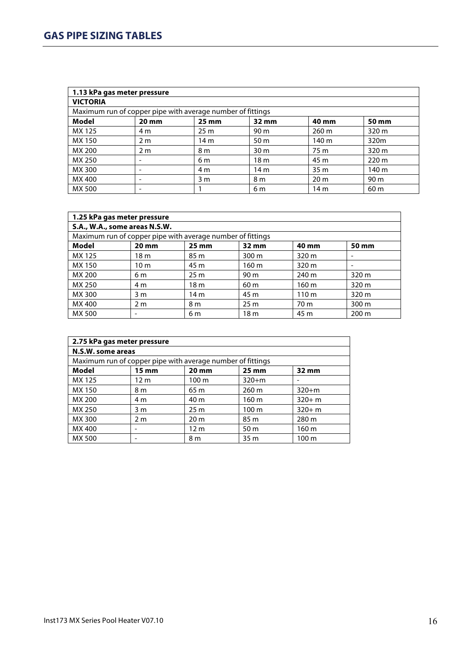|                 | 1.13 kPa gas meter pressure                                |                 |                   |                 |                  |
|-----------------|------------------------------------------------------------|-----------------|-------------------|-----------------|------------------|
| <b>VICTORIA</b> |                                                            |                 |                   |                 |                  |
|                 | Maximum run of copper pipe with average number of fittings |                 |                   |                 |                  |
| Model           | $20 \text{ mm}$                                            | $25 \text{ mm}$ | $32 \, \text{mm}$ | 40 mm           | 50 mm            |
| MX 125          | 4 m                                                        | 25 <sub>m</sub> | 90 m              | $260 \text{ m}$ | 320 <sub>m</sub> |
| MX 150          | 2 <sub>m</sub>                                             | 14 <sub>m</sub> | 50 m              | 140 m           | 320m             |
| MX 200          | 2 <sub>m</sub>                                             | 8 <sub>m</sub>  | 30 <sub>m</sub>   | 75 m            | 320 m            |
| MX 250          |                                                            | 6 m             | 18 <sub>m</sub>   | 45 m            | 220 m            |
| MX 300          | -                                                          | 4 m             | 14 <sub>m</sub>   | 35 <sub>m</sub> | 140 m            |
| MX 400          | -                                                          | 3 <sub>m</sub>  | 8 m               | 20 <sub>m</sub> | 90 m             |
| MX 500          |                                                            |                 | 6 m               | 14 m            | 60 <sub>m</sub>  |

| 1.25 kPa gas meter pressure                                |                          |                 |                 |                  |                  |
|------------------------------------------------------------|--------------------------|-----------------|-----------------|------------------|------------------|
| S.A., W.A., some areas N.S.W.                              |                          |                 |                 |                  |                  |
| Maximum run of copper pipe with average number of fittings |                          |                 |                 |                  |                  |
| Model                                                      | $20 \text{ mm}$          | $25 \text{ mm}$ | 32 mm           | 40 mm            | 50 mm            |
| MX 125                                                     | 18 <sub>m</sub>          | 85 m            | 300 m           | 320 m            |                  |
| MX 150                                                     | 10 <sub>m</sub>          | 45 m            | 160 m           | 320 m            |                  |
| MX 200                                                     | 6 m                      | 25 <sub>m</sub> | 90 <sub>m</sub> | 240 m            | 320 m            |
| MX 250                                                     | 4 m                      | 18 <sub>m</sub> | 60 <sub>m</sub> | 160 m            | 320 m            |
| MX 300                                                     | 3 <sub>m</sub>           | 14 m            | 45 m            | 110 <sub>m</sub> | 320 m            |
| MX 400                                                     | 2 <sub>m</sub>           | 8 m             | 25 <sub>m</sub> | 70 m             | 300 <sub>m</sub> |
| MX 500                                                     | $\overline{\phantom{a}}$ | 6 m             | 18 <sub>m</sub> | 45 m             | $200 \text{ m}$  |

| 2.75 kPa gas meter pressure                                |                 |                   |                   |                  |
|------------------------------------------------------------|-----------------|-------------------|-------------------|------------------|
| N.S.W. some areas                                          |                 |                   |                   |                  |
| Maximum run of copper pipe with average number of fittings |                 |                   |                   |                  |
| Model                                                      | $15 \text{ mm}$ | $20 \, \text{mm}$ | $25 \, \text{mm}$ | 32 mm            |
| MX 125                                                     | 12 <sub>m</sub> | 100 <sub>m</sub>  | $320+m$           |                  |
| MX 150                                                     | 8 m             | 65 m              | $260 \text{ m}$   | $320 + m$        |
| MX 200                                                     | 4 m             | 40 m              | 160 m             | $320 + m$        |
| MX 250                                                     | 3 m             | 25 <sub>m</sub>   | 100 <sub>m</sub>  | $320 + m$        |
| MX 300                                                     | 2 <sub>m</sub>  | 20 <sub>m</sub>   | 85 m              | 280 m            |
| MX 400                                                     |                 | 12 <sub>m</sub>   | 50 m              | 160 m            |
| MX 500                                                     |                 | 8 m               | 35 <sub>m</sub>   | 100 <sub>m</sub> |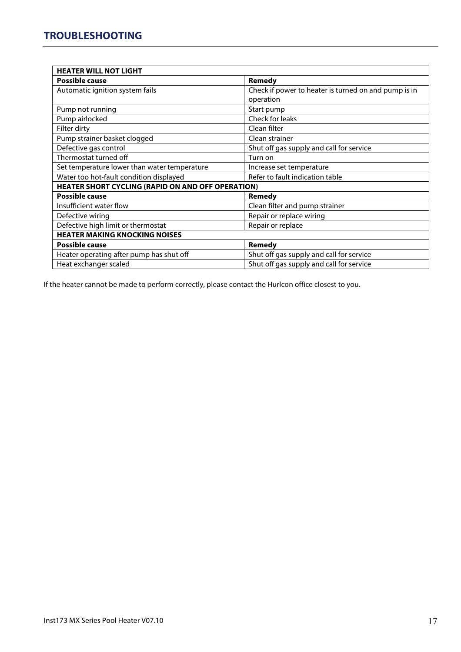| <b>HEATER WILL NOT LIGHT</b>                             |                                                      |
|----------------------------------------------------------|------------------------------------------------------|
| <b>Possible cause</b>                                    | Remedy                                               |
| Automatic ignition system fails                          | Check if power to heater is turned on and pump is in |
|                                                          | operation                                            |
| Pump not running                                         | Start pump                                           |
| Pump airlocked                                           | Check for leaks                                      |
| Filter dirty                                             | Clean filter                                         |
| Pump strainer basket clogged                             | Clean strainer                                       |
| Defective gas control                                    | Shut off gas supply and call for service             |
| Thermostat turned off                                    | Turn on                                              |
| Set temperature lower than water temperature             | Increase set temperature                             |
| Water too hot-fault condition displayed                  | Refer to fault indication table                      |
| <b>HEATER SHORT CYCLING (RAPID ON AND OFF OPERATION)</b> |                                                      |
| <b>Possible cause</b>                                    | Remedy                                               |
| Insufficient water flow                                  | Clean filter and pump strainer                       |
| Defective wiring                                         | Repair or replace wiring                             |
| Defective high limit or thermostat                       | Repair or replace                                    |
| <b>HEATER MAKING KNOCKING NOISES</b>                     |                                                      |
| <b>Possible cause</b>                                    | Remedy                                               |
| Heater operating after pump has shut off                 | Shut off gas supply and call for service             |
| Heat exchanger scaled                                    | Shut off gas supply and call for service             |

If the heater cannot be made to perform correctly, please contact the Hurlcon office closest to you.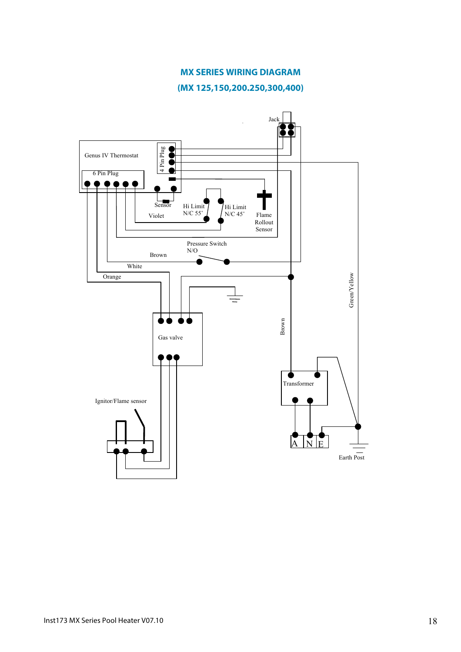#### **MX SERIES WIRING DIAGRAM**

**(MX 125,150,200.250,300,400)**

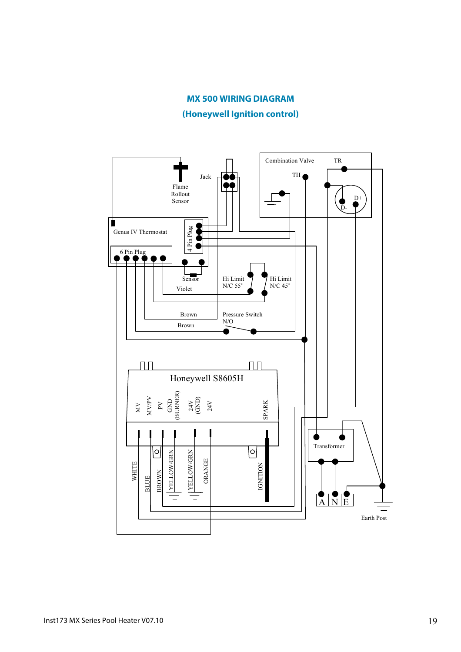#### **MX 500 WIRING DIAGRAM**

**(Honeywell Ignition control)**

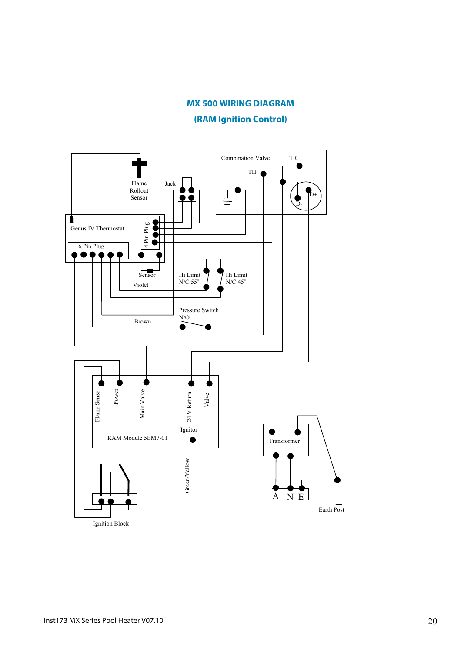#### **MX 500 WIRING DIAGRAM**

**(RAM Ignition Control)**

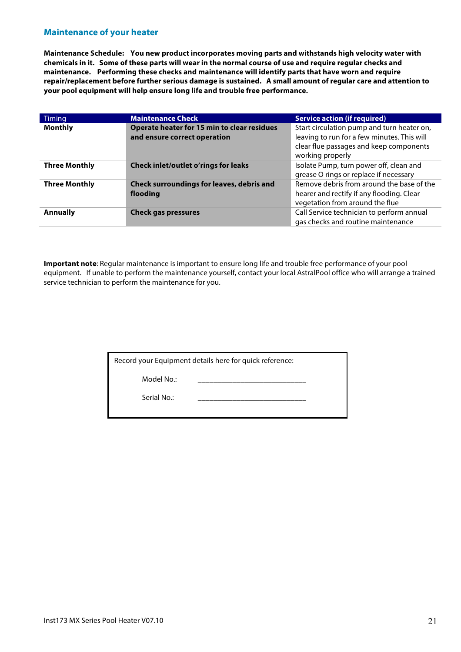#### **Maintenance of your heater**

**Maintenance Schedule: You new product incorporates moving parts and withstands high velocity water with chemicals in it. Some of these parts will wear in the normal course of use and require regular checks and maintenance. Performing these checks and maintenance will identify parts that have worn and require repair/replacement before further serious damage is sustained. A small amount of regular care and attention to your pool equipment will help ensure long life and trouble free performance.**

| Timing               | <b>Maintenance Check</b>                                                    | <b>Service action (if required)</b>                                                                                                                      |
|----------------------|-----------------------------------------------------------------------------|----------------------------------------------------------------------------------------------------------------------------------------------------------|
| <b>Monthly</b>       | Operate heater for 15 min to clear residues<br>and ensure correct operation | Start circulation pump and turn heater on,<br>leaving to run for a few minutes. This will<br>clear flue passages and keep components<br>working properly |
| <b>Three Monthly</b> | <b>Check inlet/outlet o'rings for leaks</b>                                 | Isolate Pump, turn power off, clean and<br>grease O rings or replace if necessary                                                                        |
| <b>Three Monthly</b> | Check surroundings for leaves, debris and<br>flooding                       | Remove debris from around the base of the<br>hearer and rectify if any flooding. Clear<br>vegetation from around the flue                                |
| <b>Annually</b>      | <b>Check gas pressures</b>                                                  | Call Service technician to perform annual<br>gas checks and routine maintenance                                                                          |

**Important note**: Regular maintenance is important to ensure long life and trouble free performance of your pool equipment. If unable to perform the maintenance yourself, contact your local AstralPool office who will arrange a trained service technician to perform the maintenance for you.

Model No.:

Serial No.: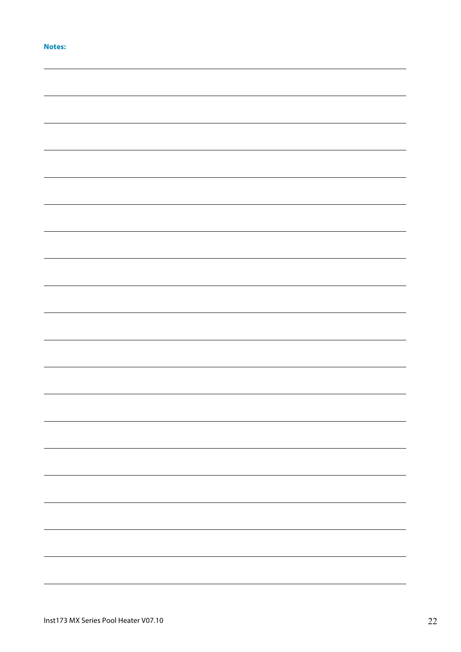|  | . |  |
|--|---|--|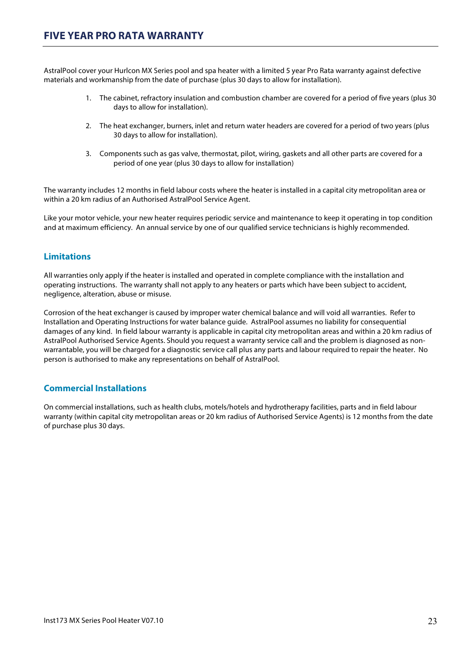AstralPool cover your Hurlcon MX Series pool and spa heater with a limited 5 year Pro Rata warranty against defective materials and workmanship from the date of purchase (plus 30 days to allow for installation).

- 1. The cabinet, refractory insulation and combustion chamber are covered for a period of five years (plus 30 days to allow for installation).
- 2. The heat exchanger, burners, inlet and return water headers are covered for a period of two years (plus 30 days to allow for installation).
- 3. Components such as gas valve, thermostat, pilot, wiring, gaskets and all other parts are covered for a period of one year (plus 30 days to allow for installation)

The warranty includes 12 months in field labour costs where the heater is installed in a capital city metropolitan area or within a 20 km radius of an Authorised AstralPool Service Agent.

Like your motor vehicle, your new heater requires periodic service and maintenance to keep it operating in top condition and at maximum efficiency. An annual service by one of our qualified service technicians is highly recommended.

## **Limitations**

All warranties only apply if the heater is installed and operated in complete compliance with the installation and operating instructions. The warranty shall not apply to any heaters or parts which have been subject to accident, negligence, alteration, abuse or misuse.

Corrosion of the heat exchanger is caused by improper water chemical balance and will void all warranties. Refer to Installation and Operating Instructions for water balance guide. AstralPool assumes no liability for consequential damages of any kind. In field labour warranty is applicable in capital city metropolitan areas and within a 20 km radius of AstralPool Authorised Service Agents. Should you request a warranty service call and the problem is diagnosed as nonwarrantable, you will be charged for a diagnostic service call plus any parts and labour required to repair the heater. No person is authorised to make any representations on behalf of AstralPool.

## **Commercial Installations**

On commercial installations, such as health clubs, motels/hotels and hydrotherapy facilities, parts and in field labour warranty (within capital city metropolitan areas or 20 km radius of Authorised Service Agents) is 12 months from the date of purchase plus 30 days.